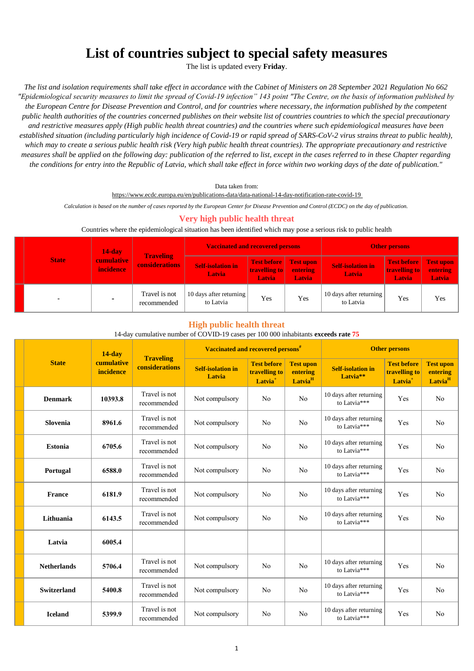# **List of countries subject to special safety measures**

The list is updated every **Friday**.

*The list and isolation requirements shall take effect in accordance with the Cabinet of Ministers on 28 September 2021 Regulation No 662 "Epidemiological security measures to limit the spread of Covid-19 infection" 143 point "The Centre, on the basis of information published by the European Centre for Disease Prevention and Control, and for countries where necessary, the information published by the competent public health authorities of the countries concerned publishes on their website list of countries countries to which the special precautionary and restrictive measures apply (High public health threat countries) and the countries where such epidemiological measures have been established situation (including particularly high incidence of Covid-19 or rapid spread of SARS-CoV-2 virus strains threat to public health), which may to create a serious public health risk (Very high public health threat countries). The appropriate precautionary and restrictive measures shall be applied on the following day: publication of the referred to list, except in the cases referred to in these Chapter regarding the conditions for entry into the Republic of Latvia, which shall take effect in force within two working days of the date of publication."*

Data taken from:

https://www.ecdc.europa.eu/en/publications-data/data-national-14-day-notification-rate-covid-19

*Calculation is based on the number of cases reported by the European Center for Disease Prevention and Control (ECDC) on the day of publication.* 

# **Very high public health threat**

#### Countries where the epidemiological situation has been identified which may pose a serious risk to public health

|  | <b>State</b> | $14$ -day<br><b>Traveling</b><br><b>cumulative</b><br><b>incidence</b> |                              | <b>Vaccinated and recovered persons</b>   |                                                         |                           | <b>Other persons</b>                      |                                                             |                                               |
|--|--------------|------------------------------------------------------------------------|------------------------------|-------------------------------------------|---------------------------------------------------------|---------------------------|-------------------------------------------|-------------------------------------------------------------|-----------------------------------------------|
|  |              |                                                                        | <b>considerations</b>        | <b>Self-isolation in</b><br><b>Latvia</b> | Test before Test upon<br>travelling to<br><b>Latvia</b> | <b>entering</b><br>Latvia | <b>Self-isolation in</b><br><b>Latvia</b> | <b>Test before</b><br><b>travelling to</b><br><b>Latvia</b> | <b>Test upon</b><br>entering<br><b>Latvia</b> |
|  | -            | $\sim$                                                                 | Travel is not<br>recommended | 10 days after returning<br>to Latvia      | Yes                                                     | Yes                       | 10 days after returning<br>to Latvia      | Yes                                                         | Yes                                           |

#### **High public health threat**

#### 14-day cumulative number of COVID-19 cases per 100 000 inhabitants **exceeds rate 75**

|                    | $14$ -day<br>cumulative<br>incidence |                                           | Vaccinated and recovered persons <sup>#</sup> |                                                            |                                                     | <b>Other persons</b>                             |                                                            |                                                     |  |
|--------------------|--------------------------------------|-------------------------------------------|-----------------------------------------------|------------------------------------------------------------|-----------------------------------------------------|--------------------------------------------------|------------------------------------------------------------|-----------------------------------------------------|--|
| <b>State</b>       |                                      | <b>Traveling</b><br><b>considerations</b> | <b>Self-isolation in</b><br>Latvia            | <b>Test before</b><br>travelling to<br>Latvia <sup>+</sup> | <b>Test upon</b><br>entering<br>Latvia <sup>H</sup> | <b>Self-isolation in</b><br>Latvia <sup>**</sup> | <b>Test before</b><br>travelling to<br>Latvia <sup>+</sup> | <b>Test upon</b><br>entering<br>Latvia <sup>H</sup> |  |
| <b>Denmark</b>     | 10393.8                              | Travel is not<br>recommended              | Not compulsory                                | No                                                         | N <sub>o</sub>                                      | 10 days after returning<br>to Latvia***          | Yes                                                        | N <sub>o</sub>                                      |  |
| Slovenia           | 8961.6                               | Travel is not<br>recommended              | Not compulsory                                | N <sub>o</sub>                                             | No                                                  | 10 days after returning<br>to Latvia***          | Yes                                                        | N <sub>o</sub>                                      |  |
| <b>Estonia</b>     | 6705.6                               | Travel is not<br>recommended              | Not compulsory                                | No                                                         | N <sub>o</sub>                                      | 10 days after returning<br>to Latvia***          | Yes                                                        | N <sub>o</sub>                                      |  |
| Portugal           | 6588.0                               | Travel is not<br>recommended              | Not compulsory                                | No                                                         | N <sub>o</sub>                                      | 10 days after returning<br>to Latvia***          | Yes                                                        | N <sub>o</sub>                                      |  |
| <b>France</b>      | 6181.9                               | Travel is not<br>recommended              | Not compulsory                                | N <sub>o</sub>                                             | No                                                  | 10 days after returning<br>to Latvia***          | Yes                                                        | No                                                  |  |
| Lithuania          | 6143.5                               | Travel is not<br>recommended              | Not compulsory                                | N <sub>o</sub>                                             | N <sub>o</sub>                                      | 10 days after returning<br>to Latvia***          | Yes                                                        | N <sub>o</sub>                                      |  |
| Latvia             | 6005.4                               |                                           |                                               |                                                            |                                                     |                                                  |                                                            |                                                     |  |
| <b>Netherlands</b> | 5706.4                               | Travel is not<br>recommended              | Not compulsory                                | No                                                         | N <sub>o</sub>                                      | 10 days after returning<br>to Latvia***          | Yes                                                        | No                                                  |  |
| <b>Switzerland</b> | 5400.8                               | Travel is not<br>recommended              | Not compulsory                                | No                                                         | N <sub>o</sub>                                      | 10 days after returning<br>to Latvia***          | Yes                                                        | N <sub>o</sub>                                      |  |
| <b>Iceland</b>     | 5399.9                               | Travel is not<br>recommended              | Not compulsory                                | N <sub>o</sub>                                             | N <sub>o</sub>                                      | 10 days after returning<br>to Latvia***          | Yes                                                        | N <sub>o</sub>                                      |  |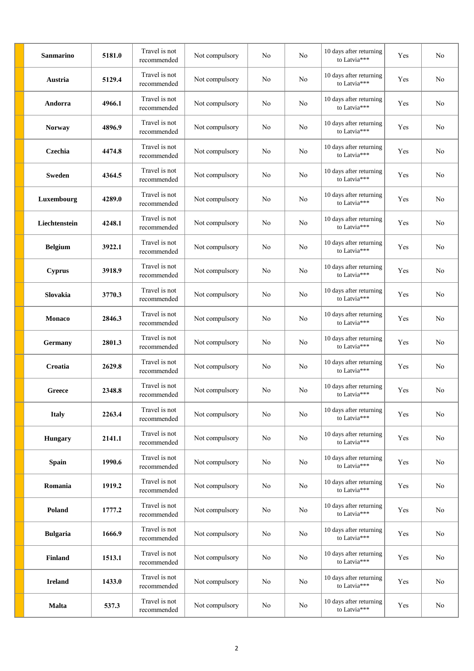| <b>Sanmarino</b> | 5181.0 | Travel is not<br>recommended | Not compulsory | No             | No | 10 days after returning<br>to Latvia*** | Yes | N <sub>o</sub> |
|------------------|--------|------------------------------|----------------|----------------|----|-----------------------------------------|-----|----------------|
| Austria          | 5129.4 | Travel is not<br>recommended | Not compulsory | No             | No | 10 days after returning<br>to Latvia*** | Yes | No             |
| Andorra          | 4966.1 | Travel is not<br>recommended | Not compulsory | No             | No | 10 days after returning<br>to Latvia*** | Yes | No             |
| <b>Norway</b>    | 4896.9 | Travel is not<br>recommended | Not compulsory | No             | No | 10 days after returning<br>to Latvia*** | Yes | No             |
| Czechia          | 4474.8 | Travel is not<br>recommended | Not compulsory | No             | No | 10 days after returning<br>to Latvia*** | Yes | No             |
| <b>Sweden</b>    | 4364.5 | Travel is not<br>recommended | Not compulsory | No             | No | 10 days after returning<br>to Latvia*** | Yes | No             |
| Luxembourg       | 4289.0 | Travel is not<br>recommended | Not compulsory | No             | No | 10 days after returning<br>to Latvia*** | Yes | No             |
| Liechtenstein    | 4248.1 | Travel is not<br>recommended | Not compulsory | No             | No | 10 days after returning<br>to Latvia*** | Yes | No             |
| <b>Belgium</b>   | 3922.1 | Travel is not<br>recommended | Not compulsory | No             | No | 10 days after returning<br>to Latvia*** | Yes | No             |
| <b>Cyprus</b>    | 3918.9 | Travel is not<br>recommended | Not compulsory | No             | No | 10 days after returning<br>to Latvia*** | Yes | No             |
| Slovakia         | 3770.3 | Travel is not<br>recommended | Not compulsory | No             | No | 10 days after returning<br>to Latvia*** | Yes | No             |
| <b>Monaco</b>    | 2846.3 | Travel is not<br>recommended | Not compulsory | No             | No | 10 days after returning<br>to Latvia*** | Yes | No             |
| <b>Germany</b>   | 2801.3 | Travel is not<br>recommended | Not compulsory | No             | No | 10 days after returning<br>to Latvia*** | Yes | No             |
| Croatia          | 2629.8 | Travel is not<br>recommended | Not compulsory | No             | No | 10 days after returning<br>to Latvia*** | Yes | No             |
| Greece           | 2348.8 | Travel is not<br>recommended | Not compulsory | N <sub>o</sub> | No | 10 days after returning<br>to Latvia*** | Yes | No             |
| <b>Italy</b>     | 2263.4 | Travel is not<br>recommended | Not compulsory | N <sub>o</sub> | No | 10 days after returning<br>to Latvia*** | Yes | No             |
| <b>Hungary</b>   | 2141.1 | Travel is not<br>recommended | Not compulsory | No             | No | 10 days after returning<br>to Latvia*** | Yes | No             |
| Spain            | 1990.6 | Travel is not<br>recommended | Not compulsory | No             | No | 10 days after returning<br>to Latvia*** | Yes | No             |
| Romania          | 1919.2 | Travel is not<br>recommended | Not compulsory | No             | No | 10 days after returning<br>to Latvia*** | Yes | No             |
| Poland           | 1777.2 | Travel is not<br>recommended | Not compulsory | No             | No | 10 days after returning<br>to Latvia*** | Yes | No             |
| <b>Bulgaria</b>  | 1666.9 | Travel is not<br>recommended | Not compulsory | No             | No | 10 days after returning<br>to Latvia*** | Yes | No             |
| <b>Finland</b>   | 1513.1 | Travel is not<br>recommended | Not compulsory | No             | No | 10 days after returning<br>to Latvia*** | Yes | No             |
| <b>Ireland</b>   | 1433.0 | Travel is not<br>recommended | Not compulsory | No             | No | 10 days after returning<br>to Latvia*** | Yes | No             |
| <b>Malta</b>     | 537.3  | Travel is not<br>recommended | Not compulsory | No             | No | 10 days after returning<br>to Latvia*** | Yes | No             |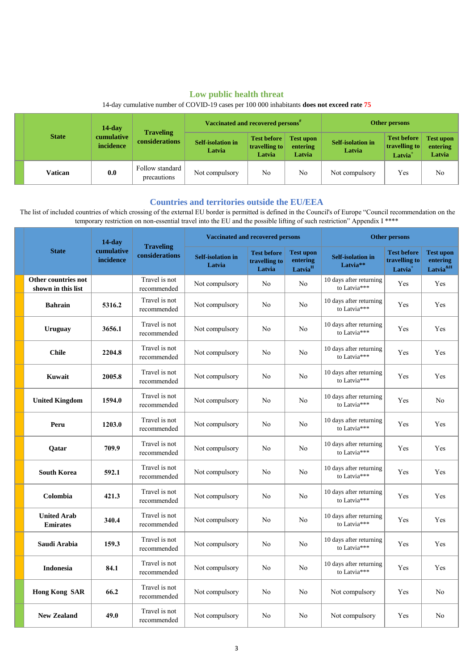# **Low public health threat**

|  | <b>State</b> | $14$ -day               |                                    | Vaccinated and recovered persons <sup>#</sup> |                                               |                                        | Other persons                      |                                                  |                                        |
|--|--------------|-------------------------|------------------------------------|-----------------------------------------------|-----------------------------------------------|----------------------------------------|------------------------------------|--------------------------------------------------|----------------------------------------|
|  |              | cumulative<br>incidence | <b>Traveling</b><br>considerations | <b>Self-isolation in</b><br>Latvia            | <b>Test before</b><br>travelling to<br>Latvia | <b>Test upon</b><br>entering<br>Latvia | <b>Self-isolation in</b><br>Latvia | <b>Test before</b><br>travelling to<br>$Latvia+$ | <b>Test upon</b><br>entering<br>Latvia |
|  | Vatican      | 0.0                     | Follow standard<br>precautions     | Not compulsory                                | No                                            | No                                     | Not compulsory                     | Yes                                              | No                                     |

14-day cumulative number of COVID-19 cases per 100 000 inhabitants **does not exceed rate 75**

## **Countries and territories outside the EU/EEA**

 The list of included countries of which crossing of the external EU border is permitted is defined in the Council's of Europe "Council recommendation on the temporary restriction on non-essential travel into the EU and the possible lifting of such restriction" Appendix I \*\*\*\*

|                                           | $14$ -day               | <b>Traveling</b><br>considerations | <b>Vaccinated and recovered persons</b> |                                               |                                                     | <b>Other persons</b>                             |                                                            |                                                          |  |
|-------------------------------------------|-------------------------|------------------------------------|-----------------------------------------|-----------------------------------------------|-----------------------------------------------------|--------------------------------------------------|------------------------------------------------------------|----------------------------------------------------------|--|
| <b>State</b>                              | cumulative<br>incidence |                                    | <b>Self-isolation in</b><br>Latvia      | <b>Test before</b><br>travelling to<br>Latvia | <b>Test upon</b><br>entering<br>Latvia <sup>H</sup> | <b>Self-isolation in</b><br>Latvia <sup>**</sup> | <b>Test before</b><br>travelling to<br>Latvia <sup>+</sup> | <b>Test upon</b><br>entering<br>Latvia <sup>&amp;H</sup> |  |
| Other countries not<br>shown in this list |                         | Travel is not<br>recommended       | Not compulsory                          | No                                            | No                                                  | 10 days after returning<br>to Latvia***          | Yes                                                        | Yes                                                      |  |
| <b>Bahrain</b>                            | 5316.2                  | Travel is not<br>recommended       | Not compulsory                          | No                                            | No                                                  | 10 days after returning<br>to Latvia***          | Yes                                                        | Yes                                                      |  |
| <b>Uruguay</b>                            | 3656.1                  | Travel is not<br>recommended       | Not compulsory                          | No                                            | No                                                  | 10 days after returning<br>to Latvia***          | Yes                                                        | Yes                                                      |  |
| <b>Chile</b>                              | 2204.8                  | Travel is not<br>recommended       | Not compulsory                          | No                                            | No                                                  | 10 days after returning<br>to Latvia***          | Yes                                                        | Yes                                                      |  |
| Kuwait                                    | 2005.8                  | Travel is not<br>recommended       | Not compulsory                          | No                                            | No                                                  | 10 days after returning<br>to Latvia***          | Yes                                                        | Yes                                                      |  |
| <b>United Kingdom</b>                     | 1594.0                  | Travel is not<br>recommended       | Not compulsory                          | No                                            | No                                                  | 10 days after returning<br>to Latvia***          | Yes                                                        | No                                                       |  |
| Peru                                      | 1203.0                  | Travel is not<br>recommended       | Not compulsory                          | No                                            | No                                                  | 10 days after returning<br>to Latvia***          | Yes                                                        | Yes                                                      |  |
| <b>Oatar</b>                              | 709.9                   | Travel is not<br>recommended       | Not compulsory                          | No                                            | No                                                  | 10 days after returning<br>to Latvia***          | Yes                                                        | Yes                                                      |  |
| <b>South Korea</b>                        | 592.1                   | Travel is not<br>recommended       | Not compulsory                          | No                                            | No                                                  | 10 days after returning<br>to Latvia***          | Yes                                                        | Yes                                                      |  |
| Colombia                                  | 421.3                   | Travel is not<br>recommended       | Not compulsory                          | No                                            | No                                                  | 10 days after returning<br>to Latvia***          | Yes                                                        | Yes                                                      |  |
| <b>United Arab</b><br><b>Emirates</b>     | 340.4                   | Travel is not<br>recommended       | Not compulsory                          | No                                            | No                                                  | 10 days after returning<br>to Latvia***          | Yes                                                        | Yes                                                      |  |
| Saudi Arabia                              | 159.3                   | Travel is not<br>recommended       | Not compulsory                          | No                                            | No                                                  | 10 days after returning<br>to Latvia***          | Yes                                                        | Yes                                                      |  |
| <b>Indonesia</b>                          | 84.1                    | Travel is not<br>recommended       | Not compulsory                          | No                                            | No                                                  | 10 days after returning<br>to Latvia***          | Yes                                                        | Yes                                                      |  |
| <b>Hong Kong SAR</b>                      | 66.2                    | Travel is not<br>recommended       | Not compulsory                          | No                                            | No                                                  | Not compulsory                                   | Yes                                                        | No                                                       |  |
| <b>New Zealand</b>                        | 49.0                    | Travel is not<br>recommended       | Not compulsory                          | No                                            | No                                                  | Not compulsory                                   | Yes                                                        | No                                                       |  |